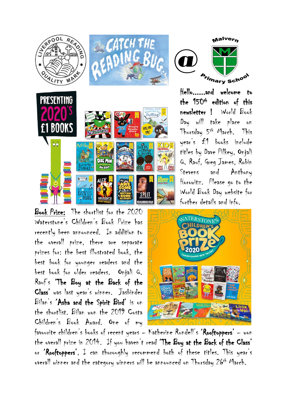

Book Prize: The shortlist for the 2020 Waterstone's Children's Book Prize has recently been announced. In addition to the overall prize, there are separate prizes for: the best illustrated book, the best book for younger readers and the best book for older readers. Onjali Q. Rauf's 'The Boy at the Back of the Class' was last year's winner. Jasbinder Bilan's 'Asha and the Spirit Bird' is on the shortlist. Bilan won the 2019 Costa Children's Book Award. One of my



Hello......and welcome to the 150th edition of this newsletter ! World Book Day will take place on Thursday 5th March. This year's £1 books include titles by Dave Pilkey, Onjali Q. Rauf, Greg James, Robin Stevens and Anthony Horowitz. Please go to the World Book Day website for further details and info.



favourite children's books of recent years – Katherine Rundell's 'Rooftoppers' – won the overall prize in 2014. If you haven't read 'The Boy at the Back of the Class' or 'Rooftoppers', I can thoroughly recommend both of these titles. This year's overall winner and the category winners will be announced on Thursday 26th March.